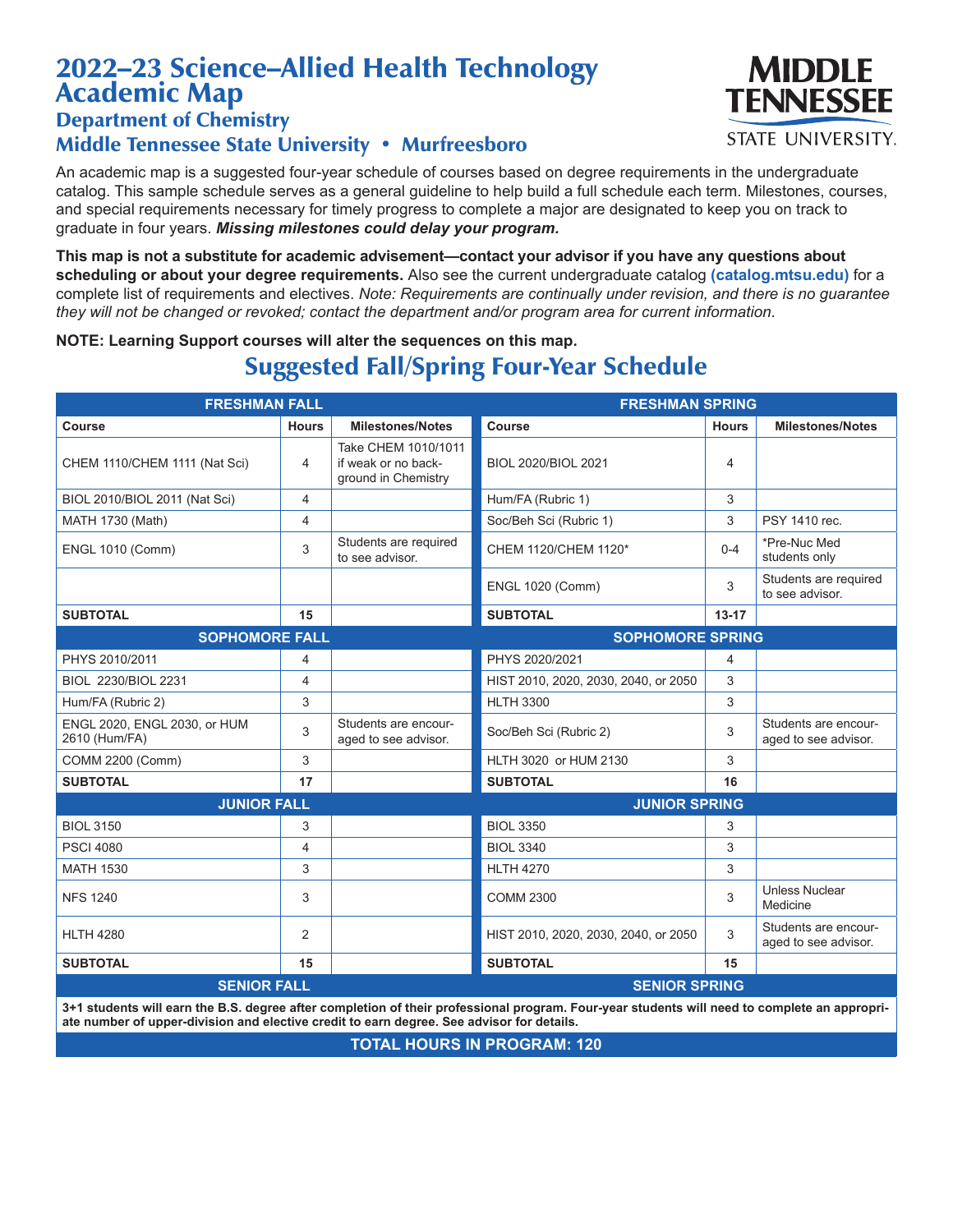## 2022–23 Science–Allied Health Technology Academic Map

Department of Chemistry

## Middle Tennessee State University • Murfreesboro

An academic map is a suggested four-year schedule of courses based on degree requirements in the undergraduate catalog. This sample schedule serves as a general guideline to help build a full schedule each term. Milestones, courses, and special requirements necessary for timely progress to complete a major are designated to keep you on track to graduate in four years. *Missing milestones could delay your program.*

**This map is not a substitute for academic advisement—contact your advisor if you have any questions about scheduling or about your degree requirements.** Also see the current undergraduate catalog **(catalog.mtsu.edu)** for a complete list of requirements and electives. *Note: Requirements are continually under revision, and there is no guarantee they will not be changed or revoked; contact the department and/or program area for current information.*

**NOTE: Learning Support courses will alter the sequences on this map.**

## Suggested Fall/Spring Four-Year Schedule

| <b>FRESHMAN FALL</b>                             |                |                                                                   | <b>FRESHMAN SPRING</b>               |              |                                              |
|--------------------------------------------------|----------------|-------------------------------------------------------------------|--------------------------------------|--------------|----------------------------------------------|
| Course                                           | <b>Hours</b>   | <b>Milestones/Notes</b>                                           | Course                               | <b>Hours</b> | <b>Milestones/Notes</b>                      |
| CHEM 1110/CHEM 1111 (Nat Sci)                    | 4              | Take CHEM 1010/1011<br>if weak or no back-<br>ground in Chemistry | BIOL 2020/BIOL 2021                  | 4            |                                              |
| BIOL 2010/BIOL 2011 (Nat Sci)                    | 4              |                                                                   | Hum/FA (Rubric 1)                    | 3            |                                              |
| MATH 1730 (Math)                                 | 4              |                                                                   | Soc/Beh Sci (Rubric 1)               | 3            | PSY 1410 rec.                                |
| <b>ENGL 1010 (Comm)</b>                          | 3              | Students are required<br>to see advisor.                          | CHEM 1120/CHEM 1120*                 | $0 - 4$      | *Pre-Nuc Med<br>students only                |
|                                                  |                |                                                                   | <b>ENGL 1020 (Comm)</b>              | 3            | Students are required<br>to see advisor.     |
| <b>SUBTOTAL</b>                                  | 15             |                                                                   | <b>SUBTOTAL</b>                      | $13 - 17$    |                                              |
| <b>SOPHOMORE FALL</b><br><b>SOPHOMORE SPRING</b> |                |                                                                   |                                      |              |                                              |
| PHYS 2010/2011                                   | 4              |                                                                   | PHYS 2020/2021                       | 4            |                                              |
| BIOL 2230/BIOL 2231                              | $\overline{4}$ |                                                                   | HIST 2010, 2020, 2030, 2040, or 2050 | 3            |                                              |
| Hum/FA (Rubric 2)                                | 3              |                                                                   | <b>HLTH 3300</b>                     | 3            |                                              |
| ENGL 2020, ENGL 2030, or HUM<br>2610 (Hum/FA)    | 3              | Students are encour-<br>aged to see advisor.                      | Soc/Beh Sci (Rubric 2)               | 3            | Students are encour-<br>aged to see advisor. |
| COMM 2200 (Comm)                                 | 3              |                                                                   | HLTH 3020 or HUM 2130                | 3            |                                              |
| <b>SUBTOTAL</b>                                  | 17             |                                                                   | <b>SUBTOTAL</b>                      | 16           |                                              |
| <b>JUNIOR FALL</b>                               |                |                                                                   | <b>JUNIOR SPRING</b>                 |              |                                              |
| <b>BIOL 3150</b>                                 | 3              |                                                                   | <b>BIOL 3350</b>                     | 3            |                                              |
| <b>PSCI 4080</b>                                 | 4              |                                                                   | <b>BIOL 3340</b>                     | 3            |                                              |
| <b>MATH 1530</b>                                 | 3              |                                                                   | <b>HLTH 4270</b>                     | 3            |                                              |
| <b>NFS 1240</b>                                  | 3              |                                                                   | <b>COMM 2300</b>                     | 3            | <b>Unless Nuclear</b><br>Medicine            |
| <b>HLTH 4280</b>                                 | 2              |                                                                   | HIST 2010, 2020, 2030, 2040, or 2050 | 3            | Students are encour-<br>aged to see advisor. |
| <b>SUBTOTAL</b>                                  | 15             |                                                                   | <b>SUBTOTAL</b>                      | 15           |                                              |
| <b>SENIOR FALL</b><br><b>SENIOR SPRING</b>       |                |                                                                   |                                      |              |                                              |
|                                                  |                |                                                                   |                                      |              |                                              |

**3+1 students will earn the B.S. degree after completion of their professional program. Four-year students will need to complete an appropriate number of upper-division and elective credit to earn degree. See advisor for details.**

**TOTAL HOURS IN PROGRAM: 120**